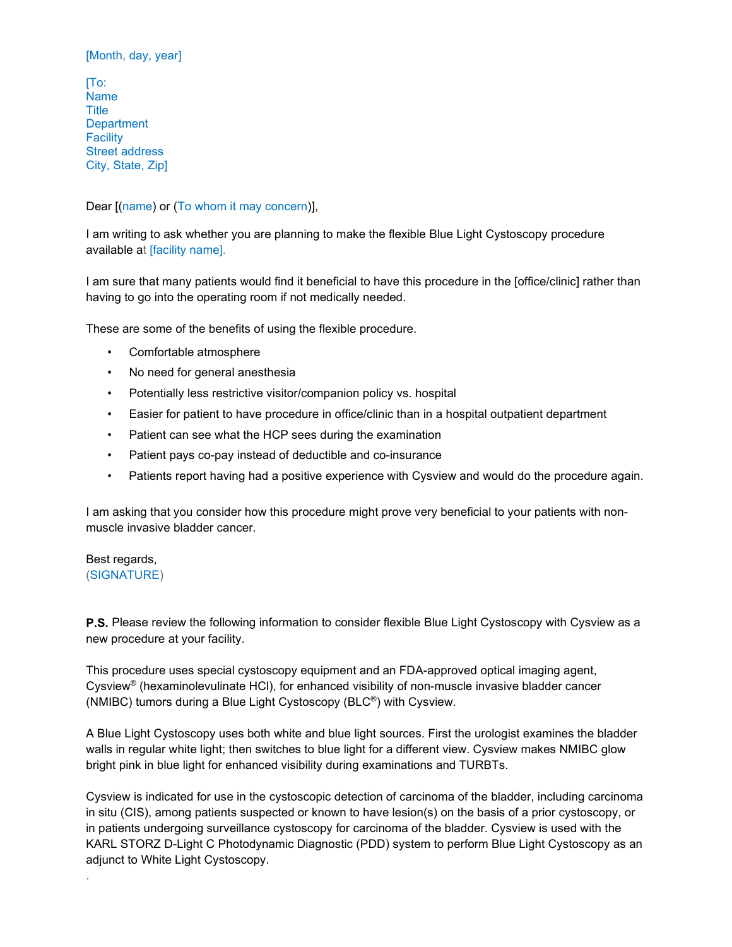# [Month, day, year]

[To: Name **Title Department Facility** Street address City, State, Zip]

# Dear [(name) or (To whom it may concern)],

I am writing to ask whether you are planning to make the flexible Blue Light Cystoscopy procedure available at [facility name].

I am sure that many patients would find it beneficial to have this procedure in the [office/clinic] rather than having to go into the operating room if not medically needed.

These are some of the benefits of using the flexible procedure.

- Comfortable atmosphere
- No need for general anesthesia
- Potentially less restrictive visitor/companion policy vs. hospital
- Easier for patient to have procedure in office/clinic than in a hospital outpatient department
- Patient can see what the HCP sees during the examination
- Patient pays co-pay instead of deductible and co-insurance
- Patients report having had a positive experience with Cysview and would do the procedure again.

I am asking that you consider how this procedure might prove very beneficial to your patients with nonmuscle invasive bladder cancer.

Best regards, (SIGNATURE)

.

**P.S.** Please review the following information to consider flexible Blue Light Cystoscopy with Cysview as a new procedure at your facility.

This procedure uses special cystoscopy equipment and an FDA-approved optical imaging agent, Cysview® (hexaminolevulinate HCl), for enhanced visibility of non-muscle invasive bladder cancer (NMIBC) tumors during a Blue Light Cystoscopy (BLC®) with Cysview.

A Blue Light Cystoscopy uses both white and blue light sources. First the urologist examines the bladder walls in regular white light; then switches to blue light for a different view. Cysview makes NMIBC glow bright pink in blue light for enhanced visibility during examinations and TURBTs.

Cysview is indicated for use in the cystoscopic detection of carcinoma of the bladder, including carcinoma in situ (CIS), among patients suspected or known to have lesion(s) on the basis of a prior cystoscopy, or in patients undergoing surveillance cystoscopy for carcinoma of the bladder. Cysview is used with the KARL STORZ D-Light C Photodynamic Diagnostic (PDD) system to perform Blue Light Cystoscopy as an adjunct to White Light Cystoscopy.